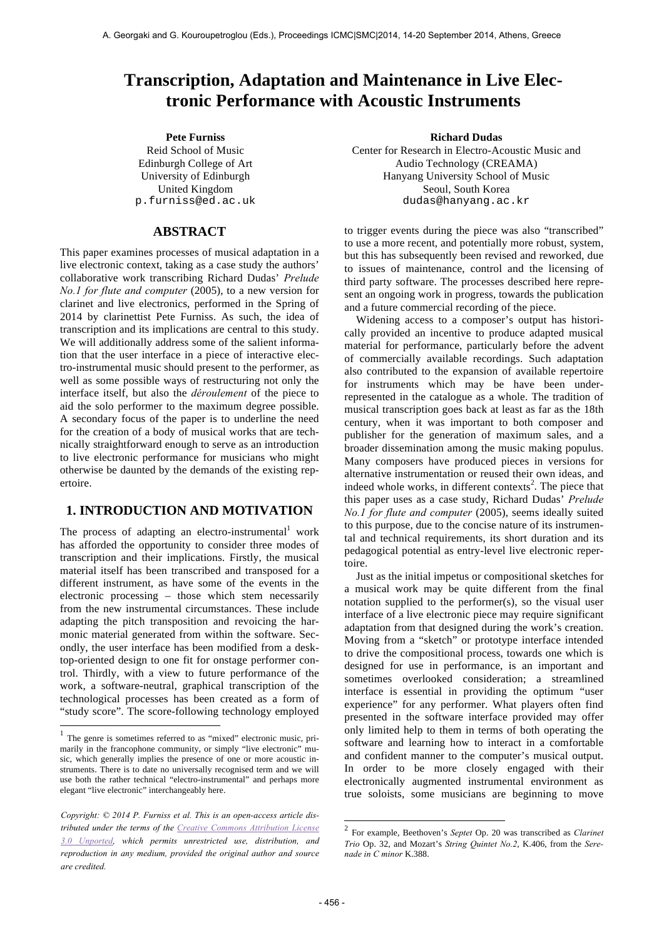# **Transcription, Adaptation and Maintenance in Live Electronic Performance with Acoustic Instruments**

**Pete Furniss Richard Dudas** Reid School of Music Edinburgh College of Art University of Edinburgh United Kingdom p.furniss@ed.ac.uk

## **ABSTRACT**

This paper examines processes of musical adaptation in a live electronic context, taking as a case study the authors' collaborative work transcribing Richard Dudas' *Prelude No.1 for flute and computer* (2005), to a new version for clarinet and live electronics, performed in the Spring of 2014 by clarinettist Pete Furniss. As such, the idea of transcription and its implications are central to this study. We will additionally address some of the salient information that the user interface in a piece of interactive electro-instrumental music should present to the performer, as well as some possible ways of restructuring not only the interface itself, but also the *déroulement* of the piece to aid the solo performer to the maximum degree possible. A secondary focus of the paper is to underline the need for the creation of a body of musical works that are technically straightforward enough to serve as an introduction to live electronic performance for musicians who might otherwise be daunted by the demands of the existing repertoire.

# **1. INTRODUCTION AND MOTIVATION**

The process of adapting an electro-instrumental work has afforded the opportunity to consider three modes of transcription and their implications. Firstly, the musical material itself has been transcribed and transposed for a different instrument, as have some of the events in the electronic processing – those which stem necessarily from the new instrumental circumstances. These include adapting the pitch transposition and revoicing the harmonic material generated from within the software. Secondly, the user interface has been modified from a desktop-oriented design to one fit for onstage performer control. Thirdly, with a view to future performance of the work, a software-neutral, graphical transcription of the technological processes has been created as a form of "study score". The score-following technology employed

 $\overline{a}$ 

Center for Research in Electro-Acoustic Music and Audio Technology (CREAMA) Hanyang University School of Music Seoul, South Korea dudas@hanyang.ac.kr

to trigger events during the piece was also "transcribed" to use a more recent, and potentially more robust, system, but this has subsequently been revised and reworked, due to issues of maintenance, control and the licensing of third party software. The processes described here represent an ongoing work in progress, towards the publication and a future commercial recording of the piece.

Widening access to a composer's output has historically provided an incentive to produce adapted musical material for performance, particularly before the advent of commercially available recordings. Such adaptation also contributed to the expansion of available repertoire for instruments which may be have been underrepresented in the catalogue as a whole. The tradition of musical transcription goes back at least as far as the 18th century, when it was important to both composer and publisher for the generation of maximum sales, and a broader dissemination among the music making populus. Many composers have produced pieces in versions for alternative instrumentation or reused their own ideas, and indeed whole works, in different contexts<sup>2</sup>. The piece that this paper uses as a case study, Richard Dudas' *Prelude No.1 for flute and computer* (2005), seems ideally suited to this purpose, due to the concise nature of its instrumental and technical requirements, its short duration and its pedagogical potential as entry-level live electronic repertoire.

Just as the initial impetus or compositional sketches for a musical work may be quite different from the final notation supplied to the performer(s), so the visual user interface of a live electronic piece may require significant adaptation from that designed during the work's creation. Moving from a "sketch" or prototype interface intended to drive the compositional process, towards one which is designed for use in performance, is an important and sometimes overlooked consideration; a streamlined interface is essential in providing the optimum "user experience" for any performer. What players often find presented in the software interface provided may offer only limited help to them in terms of both operating the software and learning how to interact in a comfortable and confident manner to the computer's musical output. In order to be more closely engaged with their electronically augmented instrumental environment as true soloists, some musicians are beginning to move

1

 $<sup>1</sup>$  The genre is sometimes referred to as "mixed" electronic music, pri-</sup> marily in the francophone community, or simply "live electronic" music, which generally implies the presence of one or more acoustic instruments. There is to date no universally recognised term and we will use both the rather technical "electro-instrumental" and perhaps more elegant "live electronic" interchangeably here.

*Copyright: © 2014 P. Furniss et al. This is an open-access article distributed under the terms of the Creative Commons Attribution License 3.0 Unported, which permits unrestricted use, distribution, and reproduction in any medium, provided the original author and source are credited.*

<sup>2</sup> For example, Beethoven's *Septet* Op. 20 was transcribed as *Clarinet Trio* Op. 32, and Mozart's *String Quintet No.2*, K.406, from the *Serenade in C minor* K.388.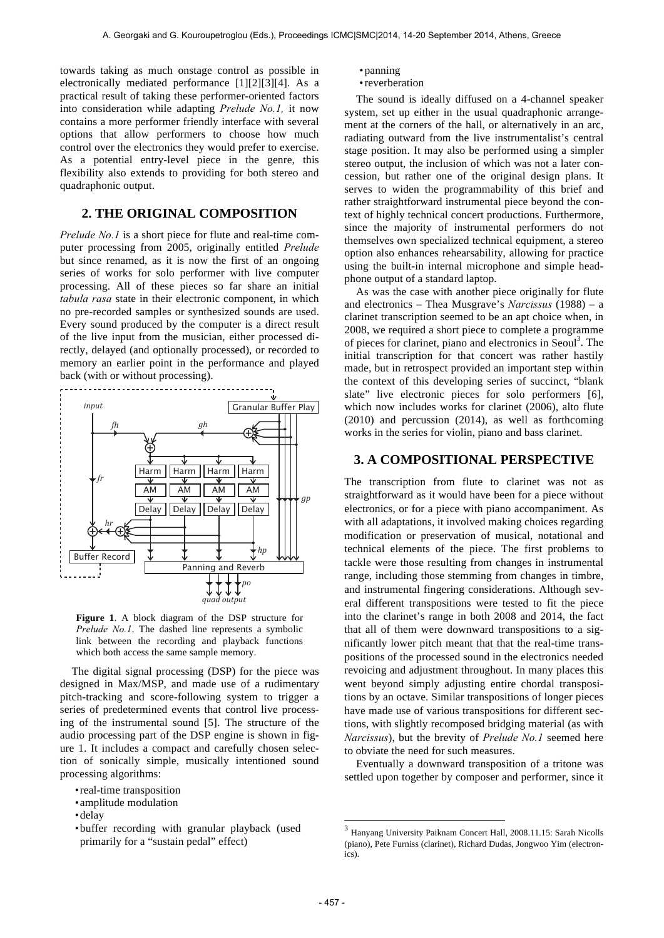towards taking as much onstage control as possible in electronically mediated performance [1][2][3][4]. As a practical result of taking these performer-oriented factors into consideration while adapting *Prelude No.1,* it now contains a more performer friendly interface with several options that allow performers to choose how much control over the electronics they would prefer to exercise. As a potential entry-level piece in the genre, this flexibility also extends to providing for both stereo and quadraphonic output.

## **2. THE ORIGINAL COMPOSITION**

*Prelude No.1* is a short piece for flute and real-time computer processing from 2005, originally entitled *Prelude* but since renamed, as it is now the first of an ongoing series of works for solo performer with live computer processing. All of these pieces so far share an initial *tabula rasa* state in their electronic component, in which no pre-recorded samples or synthesized sounds are used. Every sound produced by the computer is a direct result of the live input from the musician, either processed directly, delayed (and optionally processed), or recorded to memory an earlier point in the performance and played back (with or without processing).



**Figure 1**. A block diagram of the DSP structure for *Prelude No.1*. The dashed line represents a symbolic link between the recording and playback functions which both access the same sample memory.

The digital signal processing (DSP) for the piece was designed in Max/MSP, and made use of a rudimentary pitch-tracking and score-following system to trigger a series of predetermined events that control live processing of the instrumental sound [5]. The structure of the audio processing part of the DSP engine is shown in figure 1. It includes a compact and carefully chosen selection of sonically simple, musically intentioned sound processing algorithms:

• buffer recording with granular playback (used primarily for a "sustain pedal" effect)

- panning
- reverberation

The sound is ideally diffused on a 4-channel speaker system, set up either in the usual quadraphonic arrangement at the corners of the hall, or alternatively in an arc, radiating outward from the live instrumentalist's central stage position. It may also be performed using a simpler stereo output, the inclusion of which was not a later concession, but rather one of the original design plans. It serves to widen the programmability of this brief and rather straightforward instrumental piece beyond the context of highly technical concert productions. Furthermore, since the majority of instrumental performers do not themselves own specialized technical equipment, a stereo option also enhances rehearsability, allowing for practice using the built-in internal microphone and simple headphone output of a standard laptop.

As was the case with another piece originally for flute and electronics – Thea Musgrave's *Narcissus* (1988) – a clarinet transcription seemed to be an apt choice when, in 2008, we required a short piece to complete a programme of pieces for clarinet, piano and electronics in Seoul<sup>3</sup>. The initial transcription for that concert was rather hastily made, but in retrospect provided an important step within the context of this developing series of succinct, "blank slate" live electronic pieces for solo performers [6], which now includes works for clarinet (2006), alto flute (2010) and percussion (2014), as well as forthcoming works in the series for violin, piano and bass clarinet.

#### **3. A COMPOSITIONAL PERSPECTIVE**

The transcription from flute to clarinet was not as straightforward as it would have been for a piece without electronics, or for a piece with piano accompaniment. As with all adaptations, it involved making choices regarding modification or preservation of musical, notational and technical elements of the piece. The first problems to tackle were those resulting from changes in instrumental range, including those stemming from changes in timbre, and instrumental fingering considerations. Although several different transpositions were tested to fit the piece into the clarinet's range in both 2008 and 2014, the fact that all of them were downward transpositions to a significantly lower pitch meant that that the real-time transpositions of the processed sound in the electronics needed revoicing and adjustment throughout. In many places this went beyond simply adjusting entire chordal transpositions by an octave. Similar transpositions of longer pieces have made use of various transpositions for different sections, with slightly recomposed bridging material (as with *Narcissus*), but the brevity of *Prelude No.1* seemed here to obviate the need for such measures.

Eventually a downward transposition of a tritone was settled upon together by composer and performer, since it

1

<sup>•</sup> real-time transposition

<sup>•</sup> amplitude modulation

<sup>•</sup> delay

<sup>3</sup> Hanyang University Paiknam Concert Hall, 2008.11.15: Sarah Nicolls (piano), Pete Furniss (clarinet), Richard Dudas, Jongwoo Yim (electronics).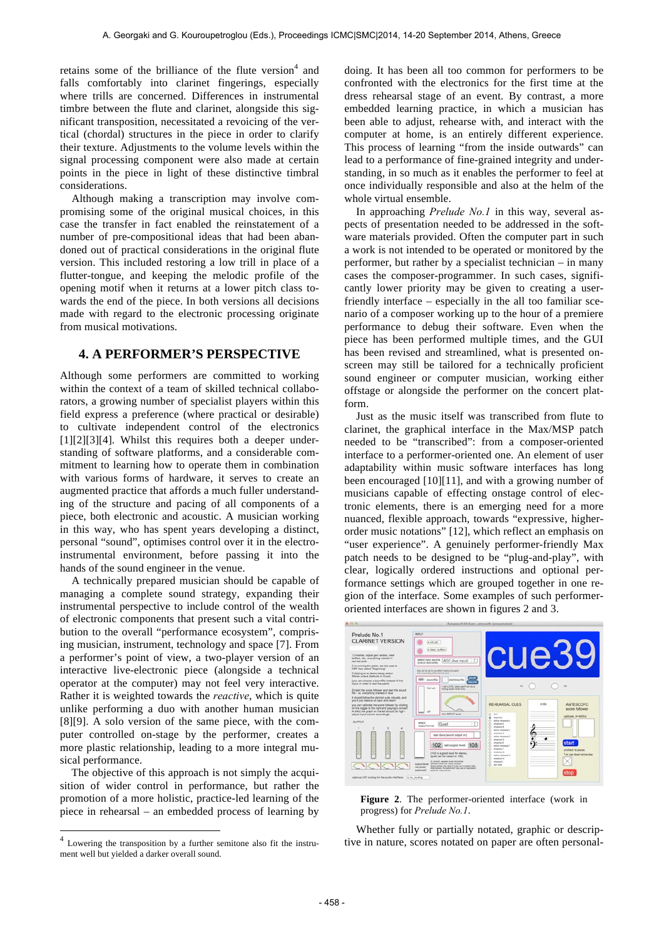retains some of the brilliance of the flute version $4$  and falls comfortably into clarinet fingerings, especially where trills are concerned. Differences in instrumental timbre between the flute and clarinet, alongside this significant transposition, necessitated a revoicing of the vertical (chordal) structures in the piece in order to clarify their texture. Adjustments to the volume levels within the signal processing component were also made at certain points in the piece in light of these distinctive timbral considerations.

Although making a transcription may involve compromising some of the original musical choices, in this case the transfer in fact enabled the reinstatement of a number of pre-compositional ideas that had been abandoned out of practical considerations in the original flute version. This included restoring a low trill in place of a flutter-tongue, and keeping the melodic profile of the opening motif when it returns at a lower pitch class towards the end of the piece. In both versions all decisions made with regard to the electronic processing originate from musical motivations.

#### **4. A PERFORMER'S PERSPECTIVE**

Although some performers are committed to working within the context of a team of skilled technical collaborators, a growing number of specialist players within this field express a preference (where practical or desirable) to cultivate independent control of the electronics [1][2][3][4]. Whilst this requires both a deeper understanding of software platforms, and a considerable commitment to learning how to operate them in combination with various forms of hardware, it serves to create an augmented practice that affords a much fuller understanding of the structure and pacing of all components of a piece, both electronic and acoustic. A musician working in this way, who has spent years developing a distinct, personal "sound", optimises control over it in the electroinstrumental environment, before passing it into the hands of the sound engineer in the venue.

A technically prepared musician should be capable of managing a complete sound strategy, expanding their instrumental perspective to include control of the wealth of electronic components that present such a vital contribution to the overall "performance ecosystem", comprising musician, instrument, technology and space [7]. From a performer's point of view, a two-player version of an interactive live-electronic piece (alongside a technical operator at the computer) may not feel very interactive. Rather it is weighted towards the *reactive*, which is quite unlike performing a duo with another human musician [8][9]. A solo version of the same piece, with the computer controlled on-stage by the performer, creates a more plastic relationship, leading to a more integral musical performance.

The objective of this approach is not simply the acquisition of wider control in performance, but rather the promotion of a more holistic, practice-led learning of the piece in rehearsal – an embedded process of learning by

 $\overline{a}$ 

doing. It has been all too common for performers to be confronted with the electronics for the first time at the dress rehearsal stage of an event. By contrast, a more embedded learning practice, in which a musician has been able to adjust, rehearse with, and interact with the computer at home, is an entirely different experience. This process of learning "from the inside outwards" can lead to a performance of fine-grained integrity and understanding, in so much as it enables the performer to feel at once individually responsible and also at the helm of the whole virtual ensemble.

In approaching *Prelude No.1* in this way, several aspects of presentation needed to be addressed in the software materials provided. Often the computer part in such a work is not intended to be operated or monitored by the performer, but rather by a specialist technician – in many cases the composer-programmer. In such cases, significantly lower priority may be given to creating a userfriendly interface – especially in the all too familiar scenario of a composer working up to the hour of a premiere performance to debug their software. Even when the piece has been performed multiple times, and the GUI has been revised and streamlined, what is presented onscreen may still be tailored for a technically proficient sound engineer or computer musician, working either offstage or alongside the performer on the concert platform.

Just as the music itself was transcribed from flute to clarinet, the graphical interface in the Max/MSP patch needed to be "transcribed": from a composer-oriented interface to a performer-oriented one. An element of user adaptability within music software interfaces has long been encouraged [10][11], and with a growing number of musicians capable of effecting onstage control of electronic elements, there is an emerging need for a more nuanced, flexible approach, towards "expressive, higherorder music notations" [12], which reflect an emphasis on "user experience". A genuinely performer-friendly Max patch needs to be designed to be "plug-and-play", with clear, logically ordered instructions and optional performance settings which are grouped together in one region of the interface. Some examples of such performeroriented interfaces are shown in figures 2 and 3.



**Figure 2**. The performer-oriented interface (work in progress) for *Prelude No.1*.

Whether fully or partially notated, graphic or descriptive in nature, scores notated on paper are often personal-

 $4$  Lowering the transposition by a further semitone also fit the instrument well but yielded a darker overall sound.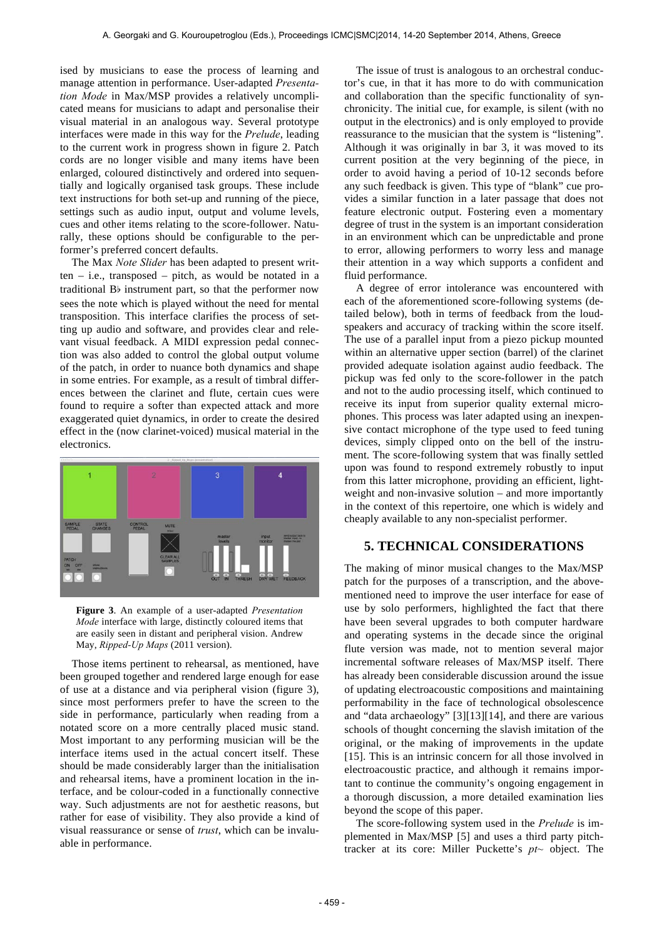ised by musicians to ease the process of learning and manage attention in performance. User-adapted *Presentation Mode* in Max/MSP provides a relatively uncomplicated means for musicians to adapt and personalise their visual material in an analogous way. Several prototype interfaces were made in this way for the *Prelude*, leading to the current work in progress shown in figure 2. Patch cords are no longer visible and many items have been enlarged, coloured distinctively and ordered into sequentially and logically organised task groups. These include text instructions for both set-up and running of the piece, settings such as audio input, output and volume levels, cues and other items relating to the score-follower. Naturally, these options should be configurable to the performer's preferred concert defaults.

The Max *Note Slider* has been adapted to present written – i.e., transposed – pitch, as would be notated in a traditional Bb instrument part, so that the performer now sees the note which is played without the need for mental transposition. This interface clarifies the process of setting up audio and software, and provides clear and relevant visual feedback. A MIDI expression pedal connection was also added to control the global output volume of the patch, in order to nuance both dynamics and shape in some entries. For example, as a result of timbral differences between the clarinet and flute, certain cues were found to require a softer than expected attack and more exaggerated quiet dynamics, in order to create the desired effect in the (now clarinet-voiced) musical material in the electronics.



**Figure 3**. An example of a user-adapted *Presentation Mode* interface with large, distinctly coloured items that are easily seen in distant and peripheral vision. Andrew May, *Ripped-Up Maps* (2011 version).

Those items pertinent to rehearsal, as mentioned, have been grouped together and rendered large enough for ease of use at a distance and via peripheral vision (figure 3), since most performers prefer to have the screen to the side in performance, particularly when reading from a notated score on a more centrally placed music stand. Most important to any performing musician will be the interface items used in the actual concert itself. These should be made considerably larger than the initialisation and rehearsal items, have a prominent location in the interface, and be colour-coded in a functionally connective way. Such adjustments are not for aesthetic reasons, but rather for ease of visibility. They also provide a kind of visual reassurance or sense of *trust*, which can be invaluable in performance.

The issue of trust is analogous to an orchestral conductor's cue, in that it has more to do with communication and collaboration than the specific functionality of synchronicity. The initial cue, for example, is silent (with no output in the electronics) and is only employed to provide reassurance to the musician that the system is "listening". Although it was originally in bar 3, it was moved to its current position at the very beginning of the piece, in order to avoid having a period of 10-12 seconds before any such feedback is given. This type of "blank" cue provides a similar function in a later passage that does not feature electronic output. Fostering even a momentary degree of trust in the system is an important consideration in an environment which can be unpredictable and prone to error, allowing performers to worry less and manage their attention in a way which supports a confident and fluid performance.

A degree of error intolerance was encountered with each of the aforementioned score-following systems (detailed below), both in terms of feedback from the loudspeakers and accuracy of tracking within the score itself. The use of a parallel input from a piezo pickup mounted within an alternative upper section (barrel) of the clarinet provided adequate isolation against audio feedback. The pickup was fed only to the score-follower in the patch and not to the audio processing itself, which continued to receive its input from superior quality external microphones. This process was later adapted using an inexpensive contact microphone of the type used to feed tuning devices, simply clipped onto on the bell of the instrument. The score-following system that was finally settled upon was found to respond extremely robustly to input from this latter microphone, providing an efficient, lightweight and non-invasive solution – and more importantly in the context of this repertoire, one which is widely and cheaply available to any non-specialist performer.

## **5. TECHNICAL CONSIDERATIONS**

The making of minor musical changes to the Max/MSP patch for the purposes of a transcription, and the abovementioned need to improve the user interface for ease of use by solo performers, highlighted the fact that there have been several upgrades to both computer hardware and operating systems in the decade since the original flute version was made, not to mention several major incremental software releases of Max/MSP itself. There has already been considerable discussion around the issue of updating electroacoustic compositions and maintaining performability in the face of technological obsolescence and "data archaeology" [3][13][14], and there are various schools of thought concerning the slavish imitation of the original, or the making of improvements in the update [15]. This is an intrinsic concern for all those involved in electroacoustic practice, and although it remains important to continue the community's ongoing engagement in a thorough discussion, a more detailed examination lies beyond the scope of this paper.

The score-following system used in the *Prelude* is implemented in Max/MSP [5] and uses a third party pitchtracker at its core: Miller Puckette's *pt~* object. The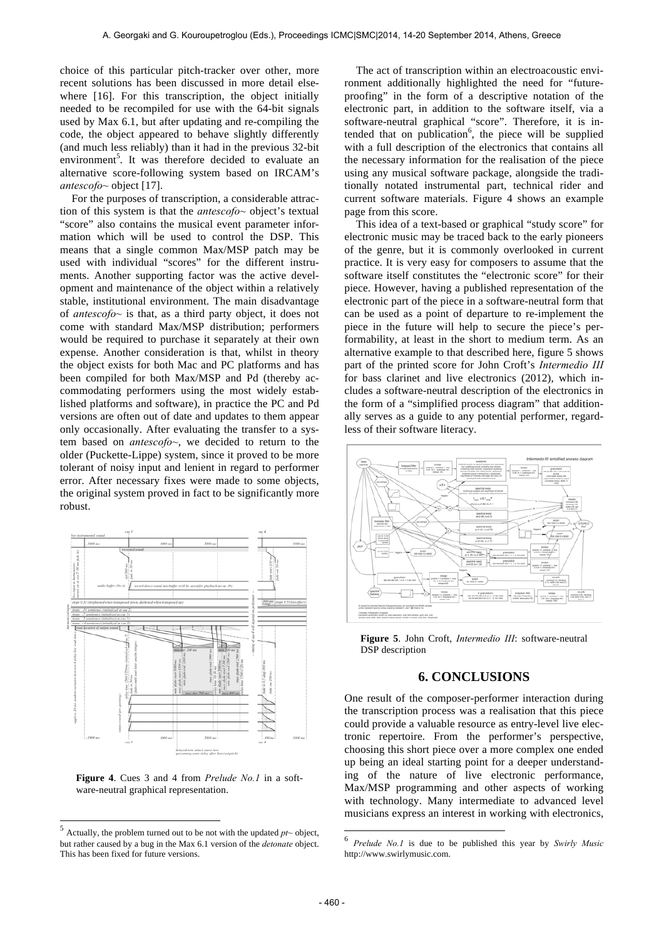choice of this particular pitch-tracker over other, more recent solutions has been discussed in more detail elsewhere [16]. For this transcription, the object initially needed to be recompiled for use with the 64-bit signals used by Max 6.1, but after updating and re-compiling the code, the object appeared to behave slightly differently (and much less reliably) than it had in the previous 32-bit environment<sup>5</sup>. It was therefore decided to evaluate an alternative score-following system based on IRCAM's *antescofo~* object [17].

For the purposes of transcription, a considerable attraction of this system is that the *antescofo~* object's textual "score" also contains the musical event parameter information which will be used to control the DSP. This means that a single common Max/MSP patch may be used with individual "scores" for the different instruments. Another supporting factor was the active development and maintenance of the object within a relatively stable, institutional environment. The main disadvantage of *antescofo~* is that, as a third party object, it does not come with standard Max/MSP distribution; performers would be required to purchase it separately at their own expense. Another consideration is that, whilst in theory the object exists for both Mac and PC platforms and has been compiled for both Max/MSP and Pd (thereby accommodating performers using the most widely established platforms and software), in practice the PC and Pd versions are often out of date and updates to them appear only occasionally. After evaluating the transfer to a system based on *antescofo~*, we decided to return to the older (Puckette-Lippe) system, since it proved to be more tolerant of noisy input and lenient in regard to performer error. After necessary fixes were made to some objects, the original system proved in fact to be significantly more robust.



**Figure 4**. Cues 3 and 4 from *Prelude No.1* in a software-neutral graphical representation.

 $\overline{a}$ 

The act of transcription within an electroacoustic environment additionally highlighted the need for "futureproofing" in the form of a descriptive notation of the electronic part, in addition to the software itself, via a software-neutral graphical "score". Therefore, it is intended that on publication<sup>6</sup>, the piece will be supplied with a full description of the electronics that contains all the necessary information for the realisation of the piece using any musical software package, alongside the traditionally notated instrumental part, technical rider and current software materials. Figure 4 shows an example page from this score.

This idea of a text-based or graphical "study score" for electronic music may be traced back to the early pioneers of the genre, but it is commonly overlooked in current practice. It is very easy for composers to assume that the software itself constitutes the "electronic score" for their piece. However, having a published representation of the electronic part of the piece in a software-neutral form that can be used as a point of departure to re-implement the piece in the future will help to secure the piece's performability, at least in the short to medium term. As an alternative example to that described here, figure 5 shows part of the printed score for John Croft's *Intermedio III*  for bass clarinet and live electronics (2012), which includes a software-neutral description of the electronics in the form of a "simplified process diagram" that additionally serves as a guide to any potential performer, regardless of their software literacy.



**Figure 5**. John Croft, *Intermedio III*: software-neutral DSP description

#### **6. CONCLUSIONS**

One result of the composer-performer interaction during the transcription process was a realisation that this piece could provide a valuable resource as entry-level live electronic repertoire. From the performer's perspective, choosing this short piece over a more complex one ended up being an ideal starting point for a deeper understanding of the nature of live electronic performance, Max/MSP programming and other aspects of working with technology. Many intermediate to advanced level musicians express an interest in working with electronics,

1

 $5$  Actually, the problem turned out to be not with the updated  $pt\sim$  object, but rather caused by a bug in the Max 6.1 version of the *detonate* object. This has been fixed for future versions.

<sup>6</sup> *Prelude No.1* is due to be published this year by *Swirly Music* http://www.swirlymusic.com.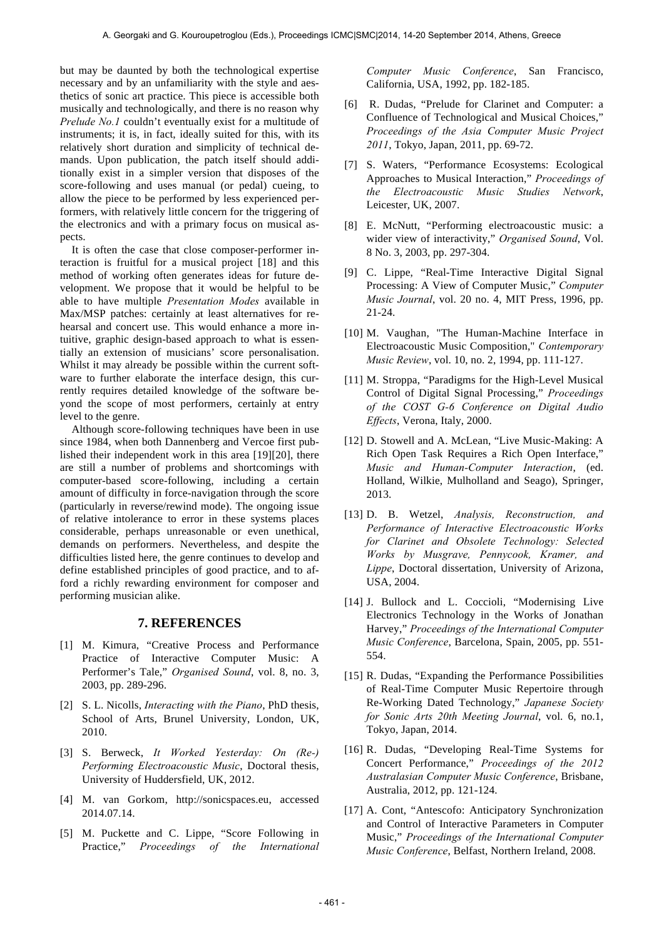but may be daunted by both the technological expertise necessary and by an unfamiliarity with the style and aesthetics of sonic art practice. This piece is accessible both musically and technologically, and there is no reason why *Prelude No.1* couldn't eventually exist for a multitude of instruments; it is, in fact, ideally suited for this, with its relatively short duration and simplicity of technical demands. Upon publication, the patch itself should additionally exist in a simpler version that disposes of the score-following and uses manual (or pedal) cueing, to allow the piece to be performed by less experienced performers, with relatively little concern for the triggering of the electronics and with a primary focus on musical aspects.

It is often the case that close composer-performer interaction is fruitful for a musical project [18] and this method of working often generates ideas for future development. We propose that it would be helpful to be able to have multiple *Presentation Modes* available in Max/MSP patches: certainly at least alternatives for rehearsal and concert use. This would enhance a more intuitive, graphic design-based approach to what is essentially an extension of musicians' score personalisation. Whilst it may already be possible within the current software to further elaborate the interface design, this currently requires detailed knowledge of the software beyond the scope of most performers, certainly at entry level to the genre.

Although score-following techniques have been in use since 1984, when both Dannenberg and Vercoe first published their independent work in this area [19][20], there are still a number of problems and shortcomings with computer-based score-following, including a certain amount of difficulty in force-navigation through the score (particularly in reverse/rewind mode). The ongoing issue of relative intolerance to error in these systems places considerable, perhaps unreasonable or even unethical, demands on performers. Nevertheless, and despite the difficulties listed here, the genre continues to develop and define established principles of good practice, and to afford a richly rewarding environment for composer and performing musician alike.

#### **7. REFERENCES**

- [1] M. Kimura, "Creative Process and Performance Practice of Interactive Computer Music: A Performer's Tale," *Organised Sound*, vol. 8, no. 3, 2003, pp. 289-296.
- [2] S. L. Nicolls, *Interacting with the Piano*, PhD thesis, School of Arts, Brunel University, London, UK, 2010.
- [3] S. Berweck, *It Worked Yesterday: On (Re-) Performing Electroacoustic Music*, Doctoral thesis, University of Huddersfield, UK, 2012.
- [4] M. van Gorkom, http://sonicspaces.eu, accessed 2014.07.14.
- [5] M. Puckette and C. Lippe, "Score Following in Practice," *Proceedings of the International*

*Computer Music Conference*, San Francisco, California, USA, 1992, pp. 182-185.

- [6] R. Dudas, "Prelude for Clarinet and Computer: a Confluence of Technological and Musical Choices," *Proceedings of the Asia Computer Music Project 2011*, Tokyo, Japan, 2011, pp. 69-72.
- [7] S. Waters, "Performance Ecosystems: Ecological Approaches to Musical Interaction," *Proceedings of the Electroacoustic Music Studies Network*, Leicester, UK, 2007.
- [8] E. McNutt, "Performing electroacoustic music: a wider view of interactivity," *Organised Sound*, Vol. 8 No. 3, 2003, pp. 297-304.
- [9] C. Lippe, "Real-Time Interactive Digital Signal Processing: A View of Computer Music," *Computer Music Journal*, vol. 20 no. 4, MIT Press, 1996, pp. 21-24.
- [10] M. Vaughan, "The Human-Machine Interface in Electroacoustic Music Composition," *Contemporary Music Review*, vol. 10, no. 2, 1994, pp. 111-127.
- [11] M. Stroppa, "Paradigms for the High-Level Musical Control of Digital Signal Processing," *Proceedings of the COST G-6 Conference on Digital Audio Effects*, Verona, Italy, 2000.
- [12] D. Stowell and A. McLean, "Live Music-Making: A Rich Open Task Requires a Rich Open Interface," *Music and Human-Computer Interaction*, (ed. Holland, Wilkie, Mulholland and Seago), Springer, 2013.
- [13] D. B. Wetzel, *Analysis, Reconstruction, and Performance of Interactive Electroacoustic Works for Clarinet and Obsolete Technology: Selected Works by Musgrave, Pennycook, Kramer, and Lippe*, Doctoral dissertation, University of Arizona, USA, 2004.
- [14] J. Bullock and L. Coccioli, "Modernising Live Electronics Technology in the Works of Jonathan Harvey," *Proceedings of the International Computer Music Conference*, Barcelona, Spain, 2005, pp. 551- 554.
- [15] R. Dudas, "Expanding the Performance Possibilities" of Real-Time Computer Music Repertoire through Re-Working Dated Technology," *Japanese Society for Sonic Arts 20th Meeting Journal*, vol. 6, no.1, Tokyo, Japan, 2014.
- [16] R. Dudas, "Developing Real-Time Systems for Concert Performance," *Proceedings of the 2012 Australasian Computer Music Conference*, Brisbane, Australia, 2012, pp. 121-124.
- [17] A. Cont, "Antescofo: Anticipatory Synchronization and Control of Interactive Parameters in Computer Music," *Proceedings of the International Computer Music Conference*, Belfast, Northern Ireland, 2008.